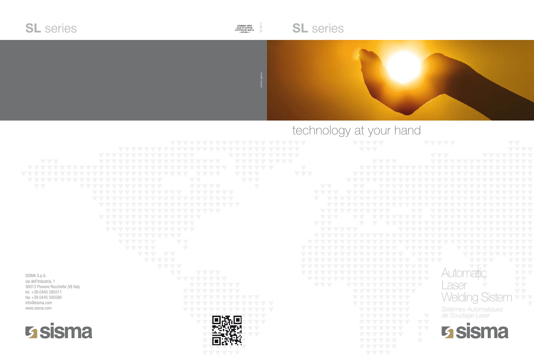|                                                   |                                                              | VVVV                                                 |
|---------------------------------------------------|--------------------------------------------------------------|------------------------------------------------------|
|                                                   | VA AV<br>$\ddot{\phantom{0}}$                                | VVV                                                  |
|                                                   | Ō.<br>$\sqrt{2}$<br>$\sqrt{}$                                |                                                      |
| VVV                                               | $\sim$                                                       | VVVV<br>$\ddot{\phantom{0}}$                         |
| $\sum_{i=1}^{n}$<br>$\sum$                        | $\sum$                                                       | $\bigvee$<br>$\sqrt{2}$<br>$\mathcal{L}$             |
| $\sum_{i=1}^{n}$                                  | $\sum_{i=1}^{n}$<br>$\sum_{i=1}^{n}$                         | VVV                                                  |
|                                                   | $\nabla \nabla$<br>$\overline{\phantom{a}}$                  |                                                      |
| $\nabla \nabla$<br>$\sqrt{2}$<br>$\sum_{i=1}^{n}$ | $\overline{\phantom{0}}$<br>$\sqrt{2}$<br>VVV<br>$\ddotsc$   | VV<br>$\langle \rangle$                              |
|                                                   | $\sqrt{2}$<br>$\nabla \nabla$<br>$\mathcal{L}$<br>$\sqrt{2}$ | $\sum_{i=1}^{n}$<br>$\sum_{i=1}^{n}$                 |
|                                                   | k 7<br>Ċ,                                                    | $\overline{\phantom{a}}$                             |
|                                                   | VVV                                                          | $\sum$                                               |
|                                                   | VV<br>$\sqrt{}$                                              |                                                      |
|                                                   | $\sum_{i=1}^{n}$                                             | $\overline{\phantom{a}}$                             |
|                                                   | $\mathcal{L}$                                                | VV                                                   |
|                                                   | $\overline{\phantom{0}}$                                     |                                                      |
|                                                   |                                                              |                                                      |
|                                                   | $\sqrt{\nabla}$<br>$\sqrt{}$                                 |                                                      |
|                                                   | $\overline{\phantom{0}}$<br>$\sum_{i=1}^{n}$<br>$\sqrt{2}$   | VA.                                                  |
|                                                   | $\sum$<br>$\sum_{i=1}^{n}$<br>$\sum_{i=1}^{n}$               | X,                                                   |
|                                                   | VVV<br>$\nabla \nabla$                                       |                                                      |
|                                                   | VVVV                                                         |                                                      |
| SISMA S.p.A.                                      | VV<br>VVVV                                                   |                                                      |
| via dell'Industria, 1                             | VV<br>$\sum$                                                 |                                                      |
| 36013 Piovene Rocchette (VI) Italy                | $\overline{\phantom{a}}$                                     | VVV                                                  |
| tel. +39 0445 595511                              |                                                              |                                                      |
| fax +39 0445 595595                               | $\sum$                                                       |                                                      |
| info@sisma.com<br>www.sisma.com                   |                                                              |                                                      |
|                                                   | $\bigvee$                                                    | Ó                                                    |
|                                                   |                                                              | e z                                                  |
| <b>Sisma</b>                                      |                                                              |                                                      |
|                                                   | $\mathbb{R}^2$                                               | $\overline{\phantom{a}}$<br>$\overline{\phantom{a}}$ |
|                                                   |                                                              |                                                      |
|                                                   |                                                              | VVV<br>$\sum_{i=1}^{n}$<br>$\sum$                    |
|                                                   |                                                              |                                                      |

# technology at your hand

# **SL** series





### Automatic **Laser** Welding Sistem *Sistèmes Automatiques de Soudage Laser*

**Sisma**